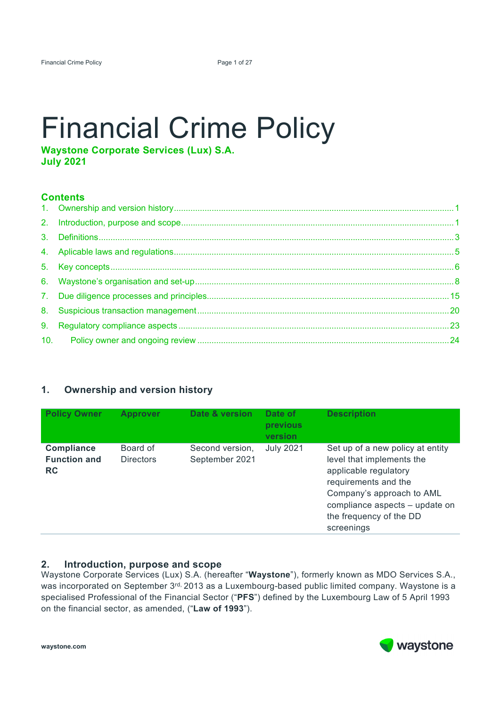# Financial Crime Policy

**Waystone Corporate Services (Lux) S.A. July 2021** 

# **Contents**

# **1. Ownership and version history**

| <b>Policy Owner</b>                                   | <b>Approver</b>              | Date & version                    | Date of<br>previous<br>version | <b>Description</b>                                                                                                                                                                                                     |
|-------------------------------------------------------|------------------------------|-----------------------------------|--------------------------------|------------------------------------------------------------------------------------------------------------------------------------------------------------------------------------------------------------------------|
| <b>Compliance</b><br><b>Function and</b><br><b>RC</b> | Board of<br><b>Directors</b> | Second version,<br>September 2021 | <b>July 2021</b>               | Set up of a new policy at entity<br>level that implements the<br>applicable regulatory<br>requirements and the<br>Company's approach to AML<br>compliance aspects - update on<br>the frequency of the DD<br>screenings |

# **2. Introduction, purpose and scope**

Waystone Corporate Services (Lux) S.A. (hereafter "**Waystone**"), formerly known as MDO Services S.A., was incorporated on September 3rd, 2013 as a Luxembourg-based public limited company. Waystone is a specialised Professional of the Financial Sector ("**PFS**") defined by the Luxembourg Law of 5 April 1993 on the financial sector, as amended, ("**Law of 1993**").

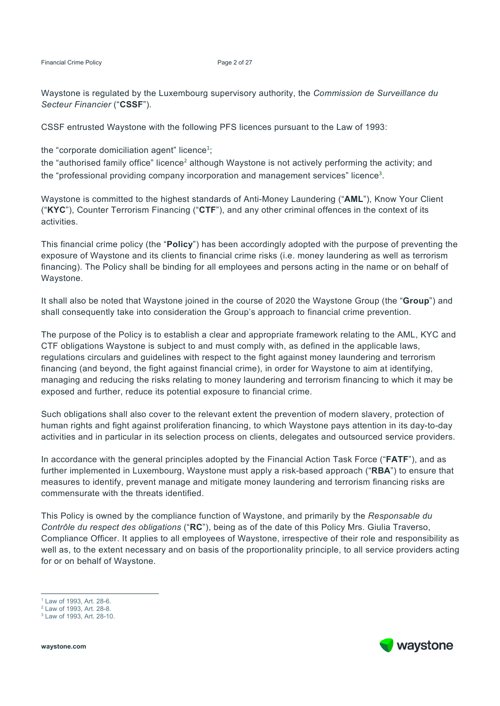Financial Crime Policy Page 2 of 27

Waystone is regulated by the Luxembourg supervisory authority, the *Commission de Surveillance du Secteur Financier* ("**CSSF**").

CSSF entrusted Waystone with the following PFS licences pursuant to the Law of 1993:

the "corporate domiciliation agent" licence<sup>1</sup>;

the "authorised family office" licence<sup>2</sup> although Waystone is not actively performing the activity; and the "professional providing company incorporation and management services" licence<sup>3</sup>.

Waystone is committed to the highest standards of Anti-Money Laundering ("**AML**"), Know Your Client ("**KYC**"), Counter Terrorism Financing ("**CTF**"), and any other criminal offences in the context of its activities.

This financial crime policy (the "**Policy**") has been accordingly adopted with the purpose of preventing the exposure of Waystone and its clients to financial crime risks (i.e. money laundering as well as terrorism financing). The Policy shall be binding for all employees and persons acting in the name or on behalf of Waystone.

It shall also be noted that Waystone joined in the course of 2020 the Waystone Group (the "**Group**") and shall consequently take into consideration the Group's approach to financial crime prevention.

The purpose of the Policy is to establish a clear and appropriate framework relating to the AML, KYC and CTF obligations Waystone is subject to and must comply with, as defined in the applicable laws, regulations circulars and guidelines with respect to the fight against money laundering and terrorism financing (and beyond, the fight against financial crime), in order for Waystone to aim at identifying, managing and reducing the risks relating to money laundering and terrorism financing to which it may be exposed and further, reduce its potential exposure to financial crime.

Such obligations shall also cover to the relevant extent the prevention of modern slavery, protection of human rights and fight against proliferation financing, to which Waystone pays attention in its day-to-day activities and in particular in its selection process on clients, delegates and outsourced service providers.

In accordance with the general principles adopted by the Financial Action Task Force ("**FATF**"), and as further implemented in Luxembourg, Waystone must apply a risk-based approach ("**RBA**") to ensure that measures to identify, prevent manage and mitigate money laundering and terrorism financing risks are commensurate with the threats identified.

This Policy is owned by the compliance function of Waystone, and primarily by the *Responsable du Contrôle du respect des obligations* ("**RC**"), being as of the date of this Policy Mrs. Giulia Traverso, Compliance Officer. It applies to all employees of Waystone, irrespective of their role and responsibility as well as, to the extent necessary and on basis of the proportionality principle, to all service providers acting for or on behalf of Waystone.

**waystone.com** 

-



<sup>1</sup> Law of 1993, Art. 28-6.

<sup>2</sup> Law of 1993, Art. 28-8.

<sup>3</sup> Law of 1993, Art. 28-10.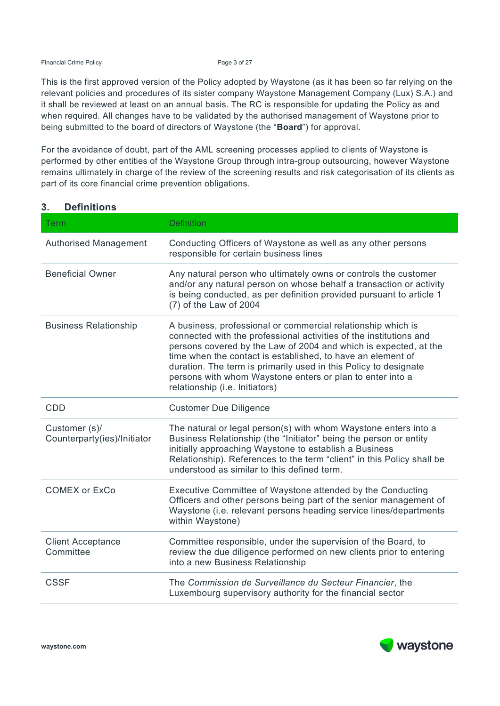Financial Crime Policy **Page 3 of 27** 

This is the first approved version of the Policy adopted by Waystone (as it has been so far relying on the relevant policies and procedures of its sister company Waystone Management Company (Lux) S.A.) and it shall be reviewed at least on an annual basis. The RC is responsible for updating the Policy as and when required. All changes have to be validated by the authorised management of Waystone prior to being submitted to the board of directors of Waystone (the "**Board**") for approval.

For the avoidance of doubt, part of the AML screening processes applied to clients of Waystone is performed by other entities of the Waystone Group through intra-group outsourcing, however Waystone remains ultimately in charge of the review of the screening results and risk categorisation of its clients as part of its core financial crime prevention obligations.

| <b>Term</b>                                  | <b>Definition</b>                                                                                                                                                                                                                                                                                                                                                                                                                        |
|----------------------------------------------|------------------------------------------------------------------------------------------------------------------------------------------------------------------------------------------------------------------------------------------------------------------------------------------------------------------------------------------------------------------------------------------------------------------------------------------|
| <b>Authorised Management</b>                 | Conducting Officers of Waystone as well as any other persons<br>responsible for certain business lines                                                                                                                                                                                                                                                                                                                                   |
| <b>Beneficial Owner</b>                      | Any natural person who ultimately owns or controls the customer<br>and/or any natural person on whose behalf a transaction or activity<br>is being conducted, as per definition provided pursuant to article 1<br>(7) of the Law of 2004                                                                                                                                                                                                 |
| <b>Business Relationship</b>                 | A business, professional or commercial relationship which is<br>connected with the professional activities of the institutions and<br>persons covered by the Law of 2004 and which is expected, at the<br>time when the contact is established, to have an element of<br>duration. The term is primarily used in this Policy to designate<br>persons with whom Waystone enters or plan to enter into a<br>relationship (i.e. Initiators) |
| <b>CDD</b>                                   | <b>Customer Due Diligence</b>                                                                                                                                                                                                                                                                                                                                                                                                            |
| Customer (s)/<br>Counterparty(ies)/Initiator | The natural or legal person(s) with whom Waystone enters into a<br>Business Relationship (the "Initiator" being the person or entity<br>initially approaching Waystone to establish a Business<br>Relationship). References to the term "client" in this Policy shall be<br>understood as similar to this defined term.                                                                                                                  |
| <b>COMEX or ExCo</b>                         | Executive Committee of Waystone attended by the Conducting<br>Officers and other persons being part of the senior management of<br>Waystone (i.e. relevant persons heading service lines/departments<br>within Waystone)                                                                                                                                                                                                                 |
| <b>Client Acceptance</b><br>Committee        | Committee responsible, under the supervision of the Board, to<br>review the due diligence performed on new clients prior to entering<br>into a new Business Relationship                                                                                                                                                                                                                                                                 |
| <b>CSSF</b>                                  | The Commission de Surveillance du Secteur Financier, the<br>Luxembourg supervisory authority for the financial sector                                                                                                                                                                                                                                                                                                                    |

# **3. Definitions**

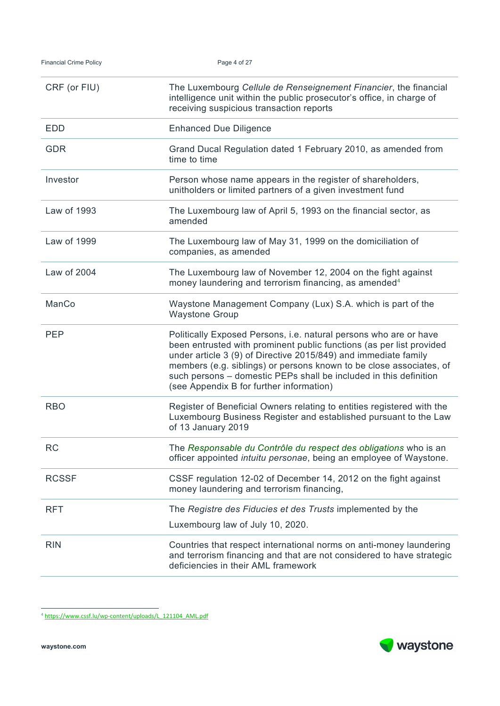| CRF (or FIU) | The Luxembourg Cellule de Renseignement Financier, the financial<br>intelligence unit within the public prosecutor's office, in charge of<br>receiving suspicious transaction reports                                                                                                                                                                                                                |
|--------------|------------------------------------------------------------------------------------------------------------------------------------------------------------------------------------------------------------------------------------------------------------------------------------------------------------------------------------------------------------------------------------------------------|
| <b>EDD</b>   | <b>Enhanced Due Diligence</b>                                                                                                                                                                                                                                                                                                                                                                        |
| <b>GDR</b>   | Grand Ducal Regulation dated 1 February 2010, as amended from<br>time to time                                                                                                                                                                                                                                                                                                                        |
| Investor     | Person whose name appears in the register of shareholders,<br>unitholders or limited partners of a given investment fund                                                                                                                                                                                                                                                                             |
| Law of 1993  | The Luxembourg law of April 5, 1993 on the financial sector, as<br>amended                                                                                                                                                                                                                                                                                                                           |
| Law of 1999  | The Luxembourg law of May 31, 1999 on the domiciliation of<br>companies, as amended                                                                                                                                                                                                                                                                                                                  |
| Law of 2004  | The Luxembourg law of November 12, 2004 on the fight against<br>money laundering and terrorism financing, as amended <sup>4</sup>                                                                                                                                                                                                                                                                    |
| ManCo        | Waystone Management Company (Lux) S.A. which is part of the<br><b>Waystone Group</b>                                                                                                                                                                                                                                                                                                                 |
| <b>PEP</b>   | Politically Exposed Persons, i.e. natural persons who are or have<br>been entrusted with prominent public functions (as per list provided<br>under article 3 (9) of Directive 2015/849) and immediate family<br>members (e.g. siblings) or persons known to be close associates, of<br>such persons - domestic PEPs shall be included in this definition<br>(see Appendix B for further information) |
| <b>RBO</b>   | Register of Beneficial Owners relating to entities registered with the<br>Luxembourg Business Register and established pursuant to the Law<br>of 13 January 2019                                                                                                                                                                                                                                     |
| <b>RC</b>    | The Responsable du Contrôle du respect des obligations who is an<br>officer appointed intuitu personae, being an employee of Waystone.                                                                                                                                                                                                                                                               |
| <b>RCSSF</b> | CSSF regulation 12-02 of December 14, 2012 on the fight against<br>money laundering and terrorism financing,                                                                                                                                                                                                                                                                                         |
| <b>RFT</b>   | The Registre des Fiducies et des Trusts implemented by the                                                                                                                                                                                                                                                                                                                                           |
|              | Luxembourg law of July 10, 2020.                                                                                                                                                                                                                                                                                                                                                                     |
| <b>RIN</b>   | Countries that respect international norms on anti-money laundering<br>and terrorism financing and that are not considered to have strategic<br>deficiencies in their AML framework                                                                                                                                                                                                                  |

<sup>&</sup>lt;sup>4</sup> https://www.cssf.lu/wp-content/uploads/L\_121104\_AML.pdf

-

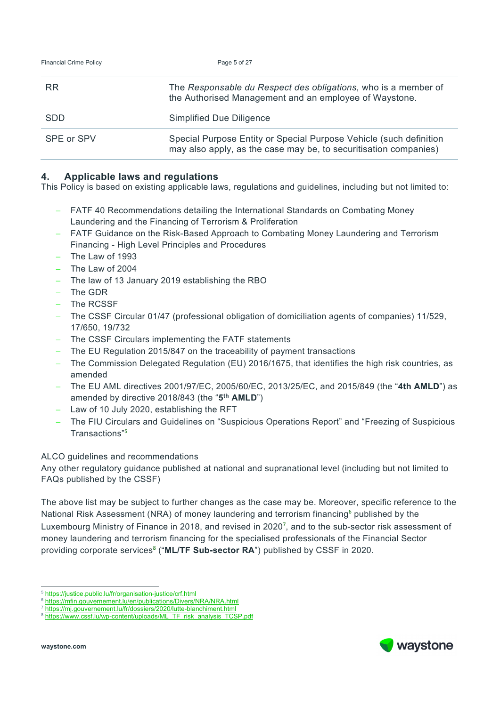| <b>Financial Crime Policy</b> | Page 5 of 27                                                                                                                           |
|-------------------------------|----------------------------------------------------------------------------------------------------------------------------------------|
| <b>RR</b>                     | The Responsable du Respect des obligations, who is a member of<br>the Authorised Management and an employee of Waystone.               |
| <b>SDD</b>                    | Simplified Due Diligence                                                                                                               |
| SPE or SPV                    | Special Purpose Entity or Special Purpose Vehicle (such definition<br>may also apply, as the case may be, to securitisation companies) |

# **4. Applicable laws and regulations**

This Policy is based on existing applicable laws, regulations and guidelines, including but not limited to:

- − FATF 40 Recommendations detailing the International Standards on Combating Money Laundering and the Financing of Terrorism & Proliferation
- − FATF Guidance on the Risk-Based Approach to Combating Money Laundering and Terrorism Financing - High Level Principles and Procedures
- − The Law of 1993
- The Law of 2004
- − The law of 13 January 2019 establishing the RBO
- − The GDR
- − The RCSSF
- − The CSSF Circular 01/47 (professional obligation of domiciliation agents of companies) 11/529, 17/650, 19/732
- The CSSF Circulars implementing the FATF statements
- − The EU Regulation 2015/847 on the traceability of payment transactions
- − The Commission Delegated Regulation (EU) 2016/1675, that identifies the high risk countries, as amended
- − The EU AML directives 2001/97/EC, 2005/60/EC, 2013/25/EC, and 2015/849 (the "**4th AMLD**") as amended by directive 2018/843 (the "**5th AMLD**")
- − Law of 10 July 2020, establishing the RFT
- − The FIU Circulars and Guidelines on "Suspicious Operations Report" and "Freezing of Suspicious Transactions"<sup>5</sup>

### ALCO guidelines and recommendations

Any other regulatory guidance published at national and supranational level (including but not limited to FAQs published by the CSSF)

The above list may be subject to further changes as the case may be. Moreover, specific reference to the National Risk Assessment (NRA) of money laundering and terrorism financing<sup>6</sup> published by the Luxembourg Ministry of Finance in 2018, and revised in 2020<sup>7</sup>, and to the sub-sector risk assessment of money laundering and terrorism financing for the specialised professionals of the Financial Sector providing corporate services<sup>8</sup> ("ML/TF Sub-sector RA") published by CSSF in 2020.

-



https://justice.public.lu/fr/organisation-justice/crf.html<br>https://mfin.gouvernement.lu/en/publications/Divers/NRA/NRA.html

https://mj.gouvernement.lu/fr/dossiers/2020/lutte-blanchiment.html<br>https://www.cssf.lu/wp-content/uploads/ML\_TF\_risk\_analysis\_TCSP.pdf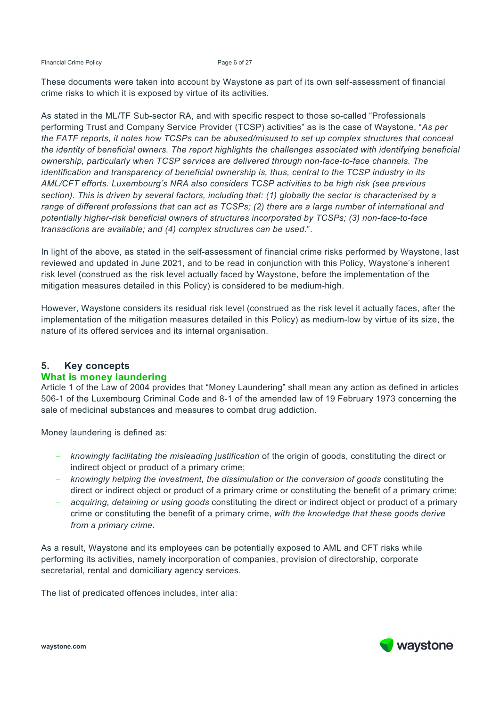Financial Crime Policy **Page 6 of 27** 

These documents were taken into account by Waystone as part of its own self-assessment of financial crime risks to which it is exposed by virtue of its activities.

As stated in the ML/TF Sub-sector RA, and with specific respect to those so-called "Professionals performing Trust and Company Service Provider (TCSP) activities" as is the case of Waystone, "*As per the FATF reports, it notes how TCSPs can be abused/misused to set up complex structures that conceal the identity of beneficial owners. The report highlights the challenges associated with identifying beneficial ownership, particularly when TCSP services are delivered through non-face-to-face channels. The identification and transparency of beneficial ownership is, thus, central to the TCSP industry in its AML/CFT efforts. Luxembourg's NRA also considers TCSP activities to be high risk (see previous section). This is driven by several factors, including that: (1) globally the sector is characterised by a range of different professions that can act as TCSPs; (2) there are a large number of international and potentially higher-risk beneficial owners of structures incorporated by TCSPs; (3) non-face-to-face transactions are available; and (4) complex structures can be used.*".

In light of the above, as stated in the self-assessment of financial crime risks performed by Waystone, last reviewed and updated in June 2021, and to be read in conjunction with this Policy, Waystone's inherent risk level (construed as the risk level actually faced by Waystone, before the implementation of the mitigation measures detailed in this Policy) is considered to be medium-high.

However, Waystone considers its residual risk level (construed as the risk level it actually faces, after the implementation of the mitigation measures detailed in this Policy) as medium-low by virtue of its size, the nature of its offered services and its internal organisation.

# **5. Key concepts What is money laundering**

Article 1 of the Law of 2004 provides that "Money Laundering" shall mean any action as defined in articles 506-1 of the Luxembourg Criminal Code and 8-1 of the amended law of 19 February 1973 concerning the sale of medicinal substances and measures to combat drug addiction.

Money laundering is defined as:

- − *knowingly facilitating the misleading justification* of the origin of goods, constituting the direct or indirect object or product of a primary crime;
- − *knowingly helping the investment, the dissimulation or the conversion of goods* constituting the direct or indirect object or product of a primary crime or constituting the benefit of a primary crime;
- − *acquiring, detaining or using goods* constituting the direct or indirect object or product of a primary crime or constituting the benefit of a primary crime, *with the knowledge that these goods derive from a primary crime*.

As a result, Waystone and its employees can be potentially exposed to AML and CFT risks while performing its activities, namely incorporation of companies, provision of directorship, corporate secretarial, rental and domiciliary agency services.

The list of predicated offences includes, inter alia:



**waystone.com**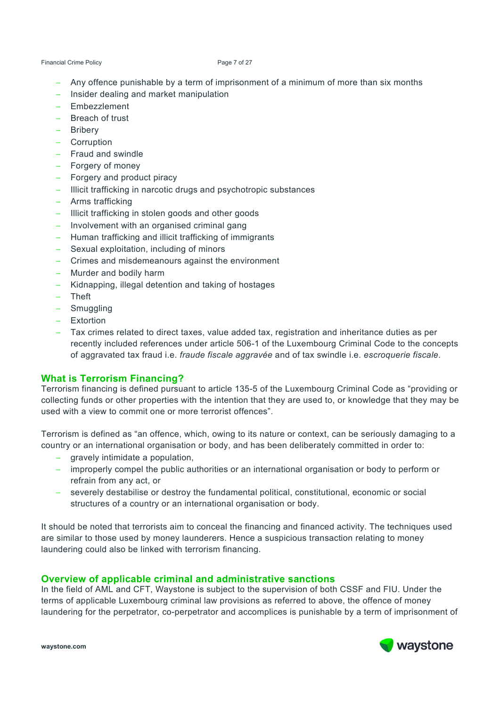#### Financial Crime Policy **Page 7 of 27**

- Any offence punishable by a term of imprisonment of a minimum of more than six months
- Insider dealing and market manipulation
- − Embezzlement
- − Breach of trust
- − Bribery
- − Corruption
- − Fraud and swindle
- − Forgery of money
- − Forgery and product piracy
- − Illicit trafficking in narcotic drugs and psychotropic substances
- − Arms trafficking
- − Illicit trafficking in stolen goods and other goods
- − Involvement with an organised criminal gang
- − Human trafficking and illicit trafficking of immigrants
- − Sexual exploitation, including of minors
- − Crimes and misdemeanours against the environment
- − Murder and bodily harm
- − Kidnapping, illegal detention and taking of hostages
- − Theft
- − Smuggling
- − Extortion
- − Tax crimes related to direct taxes, value added tax, registration and inheritance duties as per recently included references under article 506-1 of the Luxembourg Criminal Code to the concepts of aggravated tax fraud i.e. *fraude fiscale aggravée* and of tax swindle i.e. *escroquerie fiscale*.

#### **What is Terrorism Financing?**

Terrorism financing is defined pursuant to article 135-5 of the Luxembourg Criminal Code as "providing or collecting funds or other properties with the intention that they are used to, or knowledge that they may be used with a view to commit one or more terrorist offences".

Terrorism is defined as "an offence, which, owing to its nature or context, can be seriously damaging to a country or an international organisation or body, and has been deliberately committed in order to:

- − gravely intimidate a population,
- − improperly compel the public authorities or an international organisation or body to perform or refrain from any act, or
- − severely destabilise or destroy the fundamental political, constitutional, economic or social structures of a country or an international organisation or body.

It should be noted that terrorists aim to conceal the financing and financed activity. The techniques used are similar to those used by money launderers. Hence a suspicious transaction relating to money laundering could also be linked with terrorism financing.

#### **Overview of applicable criminal and administrative sanctions**

In the field of AML and CFT, Waystone is subject to the supervision of both CSSF and FIU. Under the terms of applicable Luxembourg criminal law provisions as referred to above, the offence of money laundering for the perpetrator, co-perpetrator and accomplices is punishable by a term of imprisonment of

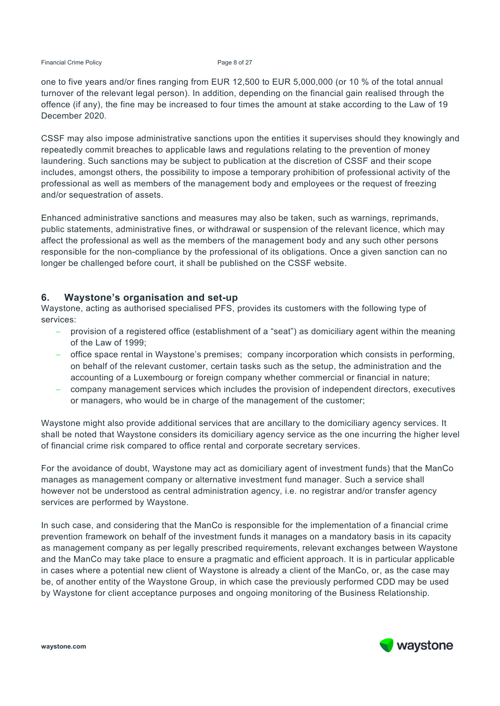Financial Crime Policy **Page 8 of 27** 

one to five years and/or fines ranging from EUR 12,500 to EUR 5,000,000 (or 10 % of the total annual turnover of the relevant legal person). In addition, depending on the financial gain realised through the offence (if any), the fine may be increased to four times the amount at stake according to the Law of 19 December 2020.

CSSF may also impose administrative sanctions upon the entities it supervises should they knowingly and repeatedly commit breaches to applicable laws and regulations relating to the prevention of money laundering. Such sanctions may be subject to publication at the discretion of CSSF and their scope includes, amongst others, the possibility to impose a temporary prohibition of professional activity of the professional as well as members of the management body and employees or the request of freezing and/or sequestration of assets.

Enhanced administrative sanctions and measures may also be taken, such as warnings, reprimands, public statements, administrative fines, or withdrawal or suspension of the relevant licence, which may affect the professional as well as the members of the management body and any such other persons responsible for the non-compliance by the professional of its obligations. Once a given sanction can no longer be challenged before court, it shall be published on the CSSF website.

#### **6. Waystone's organisation and set-up**

Waystone, acting as authorised specialised PFS, provides its customers with the following type of services:

- − provision of a registered office (establishment of a "seat") as domiciliary agent within the meaning of the Law of 1999;
- − office space rental in Waystone's premises; company incorporation which consists in performing, on behalf of the relevant customer, certain tasks such as the setup, the administration and the accounting of a Luxembourg or foreign company whether commercial or financial in nature;
- company management services which includes the provision of independent directors, executives or managers, who would be in charge of the management of the customer;

Waystone might also provide additional services that are ancillary to the domiciliary agency services. It shall be noted that Waystone considers its domiciliary agency service as the one incurring the higher level of financial crime risk compared to office rental and corporate secretary services.

For the avoidance of doubt, Waystone may act as domiciliary agent of investment funds) that the ManCo manages as management company or alternative investment fund manager. Such a service shall however not be understood as central administration agency, i.e. no registrar and/or transfer agency services are performed by Waystone.

In such case, and considering that the ManCo is responsible for the implementation of a financial crime prevention framework on behalf of the investment funds it manages on a mandatory basis in its capacity as management company as per legally prescribed requirements, relevant exchanges between Waystone and the ManCo may take place to ensure a pragmatic and efficient approach. It is in particular applicable in cases where a potential new client of Waystone is already a client of the ManCo, or, as the case may be, of another entity of the Waystone Group, in which case the previously performed CDD may be used by Waystone for client acceptance purposes and ongoing monitoring of the Business Relationship.

waystone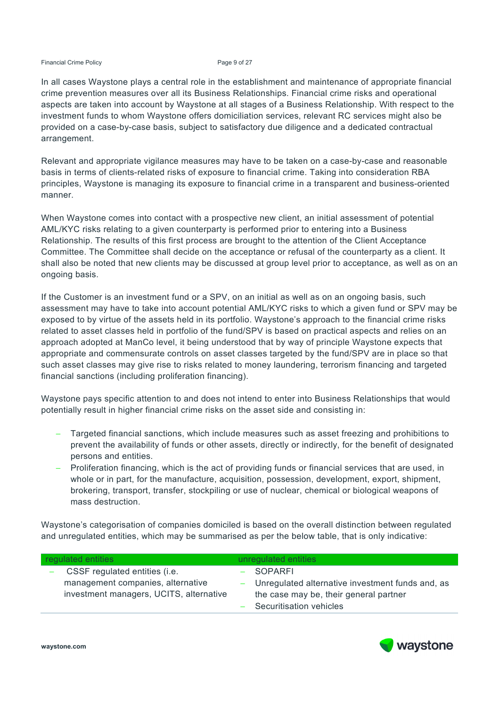#### Financial Crime Policy **Page 9 of 27** Page 9 of 27

In all cases Waystone plays a central role in the establishment and maintenance of appropriate financial crime prevention measures over all its Business Relationships. Financial crime risks and operational aspects are taken into account by Waystone at all stages of a Business Relationship. With respect to the investment funds to whom Waystone offers domiciliation services, relevant RC services might also be provided on a case-by-case basis, subject to satisfactory due diligence and a dedicated contractual arrangement.

Relevant and appropriate vigilance measures may have to be taken on a case-by-case and reasonable basis in terms of clients-related risks of exposure to financial crime. Taking into consideration RBA principles, Waystone is managing its exposure to financial crime in a transparent and business-oriented manner.

When Waystone comes into contact with a prospective new client, an initial assessment of potential AML/KYC risks relating to a given counterparty is performed prior to entering into a Business Relationship. The results of this first process are brought to the attention of the Client Acceptance Committee. The Committee shall decide on the acceptance or refusal of the counterparty as a client. It shall also be noted that new clients may be discussed at group level prior to acceptance, as well as on an ongoing basis.

If the Customer is an investment fund or a SPV, on an initial as well as on an ongoing basis, such assessment may have to take into account potential AML/KYC risks to which a given fund or SPV may be exposed to by virtue of the assets held in its portfolio. Waystone's approach to the financial crime risks related to asset classes held in portfolio of the fund/SPV is based on practical aspects and relies on an approach adopted at ManCo level, it being understood that by way of principle Waystone expects that appropriate and commensurate controls on asset classes targeted by the fund/SPV are in place so that such asset classes may give rise to risks related to money laundering, terrorism financing and targeted financial sanctions (including proliferation financing).

Waystone pays specific attention to and does not intend to enter into Business Relationships that would potentially result in higher financial crime risks on the asset side and consisting in:

- Targeted financial sanctions, which include measures such as asset freezing and prohibitions to prevent the availability of funds or other assets, directly or indirectly, for the benefit of designated persons and entities.
- − Proliferation financing, which is the act of providing funds or financial services that are used, in whole or in part, for the manufacture, acquisition, possession, development, export, shipment, brokering, transport, transfer, stockpiling or use of nuclear, chemical or biological weapons of mass destruction.

Waystone's categorisation of companies domiciled is based on the overall distinction between regulated and unregulated entities, which may be summarised as per the below table, that is only indicative:

| regulated entities |                                                                                                               | unregulated entities |                                                                                                                                        |
|--------------------|---------------------------------------------------------------------------------------------------------------|----------------------|----------------------------------------------------------------------------------------------------------------------------------------|
|                    | CSSF regulated entities (i.e.<br>management companies, alternative<br>investment managers, UCITS, alternative |                      | $-$ SOPARFI<br>- Unregulated alternative investment funds and, as<br>the case may be, their general partner<br>Securitisation vehicles |
|                    |                                                                                                               |                      |                                                                                                                                        |

waystone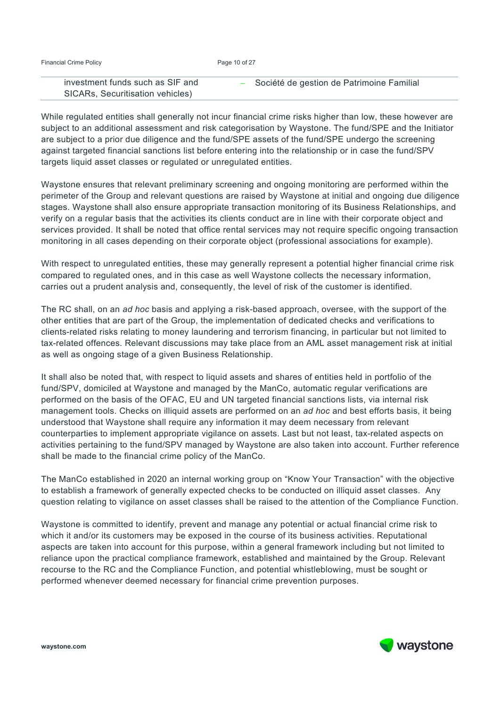| <b>Financial Crime Policy</b> |  |
|-------------------------------|--|
|                               |  |

| investment funds such as SIF and | - Société de gestion de Patrimoine Familial |
|----------------------------------|---------------------------------------------|
| SICARs, Securitisation vehicles) |                                             |

While regulated entities shall generally not incur financial crime risks higher than low, these however are subject to an additional assessment and risk categorisation by Waystone. The fund/SPE and the Initiator are subject to a prior due diligence and the fund/SPE assets of the fund/SPE undergo the screening against targeted financial sanctions list before entering into the relationship or in case the fund/SPV targets liquid asset classes or regulated or unregulated entities.

Waystone ensures that relevant preliminary screening and ongoing monitoring are performed within the perimeter of the Group and relevant questions are raised by Waystone at initial and ongoing due diligence stages. Waystone shall also ensure appropriate transaction monitoring of its Business Relationships, and verify on a regular basis that the activities its clients conduct are in line with their corporate object and services provided. It shall be noted that office rental services may not require specific ongoing transaction monitoring in all cases depending on their corporate object (professional associations for example).

With respect to unregulated entities, these may generally represent a potential higher financial crime risk compared to regulated ones, and in this case as well Waystone collects the necessary information, carries out a prudent analysis and, consequently, the level of risk of the customer is identified.

The RC shall, on an *ad hoc* basis and applying a risk-based approach, oversee, with the support of the other entities that are part of the Group, the implementation of dedicated checks and verifications to clients-related risks relating to money laundering and terrorism financing, in particular but not limited to tax-related offences. Relevant discussions may take place from an AML asset management risk at initial as well as ongoing stage of a given Business Relationship.

It shall also be noted that, with respect to liquid assets and shares of entities held in portfolio of the fund/SPV, domiciled at Waystone and managed by the ManCo, automatic regular verifications are performed on the basis of the OFAC, EU and UN targeted financial sanctions lists, via internal risk management tools. Checks on illiquid assets are performed on an *ad hoc* and best efforts basis, it being understood that Waystone shall require any information it may deem necessary from relevant counterparties to implement appropriate vigilance on assets. Last but not least, tax-related aspects on activities pertaining to the fund/SPV managed by Waystone are also taken into account. Further reference shall be made to the financial crime policy of the ManCo.

The ManCo established in 2020 an internal working group on "Know Your Transaction" with the objective to establish a framework of generally expected checks to be conducted on illiquid asset classes. Any question relating to vigilance on asset classes shall be raised to the attention of the Compliance Function.

Waystone is committed to identify, prevent and manage any potential or actual financial crime risk to which it and/or its customers may be exposed in the course of its business activities. Reputational aspects are taken into account for this purpose, within a general framework including but not limited to reliance upon the practical compliance framework, established and maintained by the Group. Relevant recourse to the RC and the Compliance Function, and potential whistleblowing, must be sought or performed whenever deemed necessary for financial crime prevention purposes.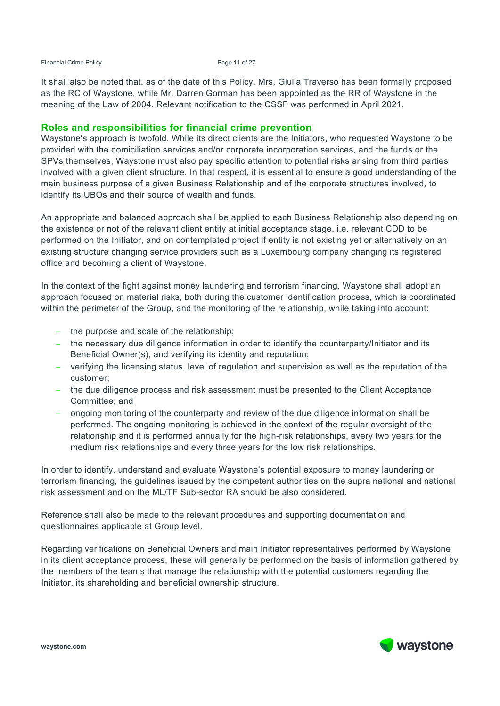#### Financial Crime Policy **Page 11 of 27**

It shall also be noted that, as of the date of this Policy, Mrs. Giulia Traverso has been formally proposed as the RC of Waystone, while Mr. Darren Gorman has been appointed as the RR of Waystone in the meaning of the Law of 2004. Relevant notification to the CSSF was performed in April 2021.

#### **Roles and responsibilities for financial crime prevention**

Waystone's approach is twofold. While its direct clients are the Initiators, who requested Waystone to be provided with the domiciliation services and/or corporate incorporation services, and the funds or the SPVs themselves, Waystone must also pay specific attention to potential risks arising from third parties involved with a given client structure. In that respect, it is essential to ensure a good understanding of the main business purpose of a given Business Relationship and of the corporate structures involved, to identify its UBOs and their source of wealth and funds.

An appropriate and balanced approach shall be applied to each Business Relationship also depending on the existence or not of the relevant client entity at initial acceptance stage, i.e. relevant CDD to be performed on the Initiator, and on contemplated project if entity is not existing yet or alternatively on an existing structure changing service providers such as a Luxembourg company changing its registered office and becoming a client of Waystone.

In the context of the fight against money laundering and terrorism financing, Waystone shall adopt an approach focused on material risks, both during the customer identification process, which is coordinated within the perimeter of the Group, and the monitoring of the relationship, while taking into account:

- − the purpose and scale of the relationship;
- − the necessary due diligence information in order to identify the counterparty/Initiator and its Beneficial Owner(s), and verifying its identity and reputation;
- − verifying the licensing status, level of regulation and supervision as well as the reputation of the customer;
- − the due diligence process and risk assessment must be presented to the Client Acceptance Committee; and
- − ongoing monitoring of the counterparty and review of the due diligence information shall be performed. The ongoing monitoring is achieved in the context of the regular oversight of the relationship and it is performed annually for the high-risk relationships, every two years for the medium risk relationships and every three years for the low risk relationships.

In order to identify, understand and evaluate Waystone's potential exposure to money laundering or terrorism financing, the guidelines issued by the competent authorities on the supra national and national risk assessment and on the ML/TF Sub-sector RA should be also considered.

Reference shall also be made to the relevant procedures and supporting documentation and questionnaires applicable at Group level.

Regarding verifications on Beneficial Owners and main Initiator representatives performed by Waystone in its client acceptance process, these will generally be performed on the basis of information gathered by the members of the teams that manage the relationship with the potential customers regarding the Initiator, its shareholding and beneficial ownership structure.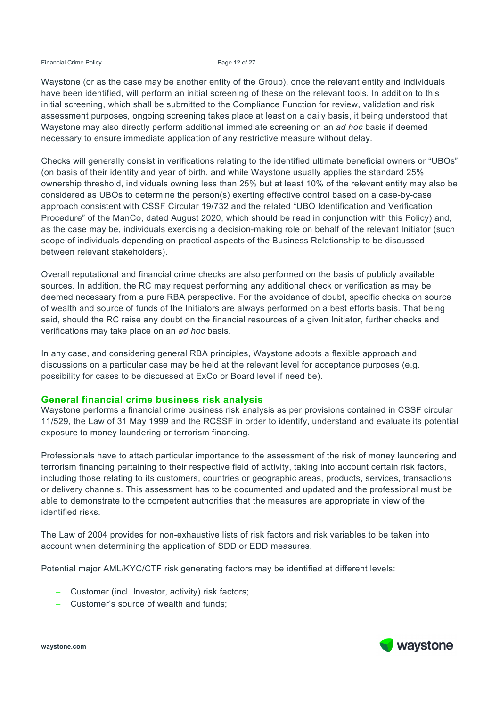#### Financial Crime Policy **Page 12 of 27**

Waystone (or as the case may be another entity of the Group), once the relevant entity and individuals have been identified, will perform an initial screening of these on the relevant tools. In addition to this initial screening, which shall be submitted to the Compliance Function for review, validation and risk assessment purposes, ongoing screening takes place at least on a daily basis, it being understood that Waystone may also directly perform additional immediate screening on an *ad hoc* basis if deemed necessary to ensure immediate application of any restrictive measure without delay.

Checks will generally consist in verifications relating to the identified ultimate beneficial owners or "UBOs" (on basis of their identity and year of birth, and while Waystone usually applies the standard 25% ownership threshold, individuals owning less than 25% but at least 10% of the relevant entity may also be considered as UBOs to determine the person(s) exerting effective control based on a case-by-case approach consistent with CSSF Circular 19/732 and the related "UBO Identification and Verification Procedure" of the ManCo, dated August 2020, which should be read in conjunction with this Policy) and, as the case may be, individuals exercising a decision-making role on behalf of the relevant Initiator (such scope of individuals depending on practical aspects of the Business Relationship to be discussed between relevant stakeholders).

Overall reputational and financial crime checks are also performed on the basis of publicly available sources. In addition, the RC may request performing any additional check or verification as may be deemed necessary from a pure RBA perspective. For the avoidance of doubt, specific checks on source of wealth and source of funds of the Initiators are always performed on a best efforts basis. That being said, should the RC raise any doubt on the financial resources of a given Initiator, further checks and verifications may take place on an *ad hoc* basis.

In any case, and considering general RBA principles, Waystone adopts a flexible approach and discussions on a particular case may be held at the relevant level for acceptance purposes (e.g. possibility for cases to be discussed at ExCo or Board level if need be).

#### **General financial crime business risk analysis**

Waystone performs a financial crime business risk analysis as per provisions contained in CSSF circular 11/529, the Law of 31 May 1999 and the RCSSF in order to identify, understand and evaluate its potential exposure to money laundering or terrorism financing.

Professionals have to attach particular importance to the assessment of the risk of money laundering and terrorism financing pertaining to their respective field of activity, taking into account certain risk factors, including those relating to its customers, countries or geographic areas, products, services, transactions or delivery channels. This assessment has to be documented and updated and the professional must be able to demonstrate to the competent authorities that the measures are appropriate in view of the identified risks.

The Law of 2004 provides for non-exhaustive lists of risk factors and risk variables to be taken into account when determining the application of SDD or EDD measures.

Potential major AML/KYC/CTF risk generating factors may be identified at different levels:

- − Customer (incl. Investor, activity) risk factors;
- − Customer's source of wealth and funds;

**waystone.com** 

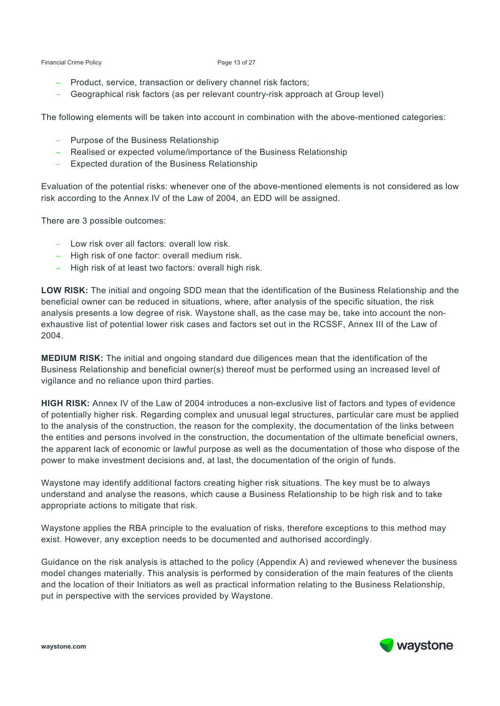Financial Crime Policy **Page 13 of 27** 

- − Product, service, transaction or delivery channel risk factors;
- − Geographical risk factors (as per relevant country-risk approach at Group level)

The following elements will be taken into account in combination with the above-mentioned categories:

- − Purpose of the Business Relationship
- − Realised or expected volume/importance of the Business Relationship
- Expected duration of the Business Relationship

Evaluation of the potential risks: whenever one of the above-mentioned elements is not considered as low risk according to the Annex IV of the Law of 2004, an EDD will be assigned.

There are 3 possible outcomes:

- − Low risk over all factors: overall low risk.
- High risk of one factor: overall medium risk.
- High risk of at least two factors: overall high risk.

**LOW RISK:** The initial and ongoing SDD mean that the identification of the Business Relationship and the beneficial owner can be reduced in situations, where, after analysis of the specific situation, the risk analysis presents a low degree of risk. Waystone shall, as the case may be, take into account the nonexhaustive list of potential lower risk cases and factors set out in the RCSSF, Annex III of the Law of 2004.

**MEDIUM RISK:** The initial and ongoing standard due diligences mean that the identification of the Business Relationship and beneficial owner(s) thereof must be performed using an increased level of vigilance and no reliance upon third parties.

**HIGH RISK:** Annex IV of the Law of 2004 introduces a non-exclusive list of factors and types of evidence of potentially higher risk. Regarding complex and unusual legal structures, particular care must be applied to the analysis of the construction, the reason for the complexity, the documentation of the links between the entities and persons involved in the construction, the documentation of the ultimate beneficial owners, the apparent lack of economic or lawful purpose as well as the documentation of those who dispose of the power to make investment decisions and, at last, the documentation of the origin of funds.

Waystone may identify additional factors creating higher risk situations. The key must be to always understand and analyse the reasons, which cause a Business Relationship to be high risk and to take appropriate actions to mitigate that risk.

Waystone applies the RBA principle to the evaluation of risks, therefore exceptions to this method may exist. However, any exception needs to be documented and authorised accordingly.

Guidance on the risk analysis is attached to the policy (Appendix A) and reviewed whenever the business model changes materially. This analysis is performed by consideration of the main features of the clients and the location of their Initiators as well as practical information relating to the Business Relationship, put in perspective with the services provided by Waystone.

waystone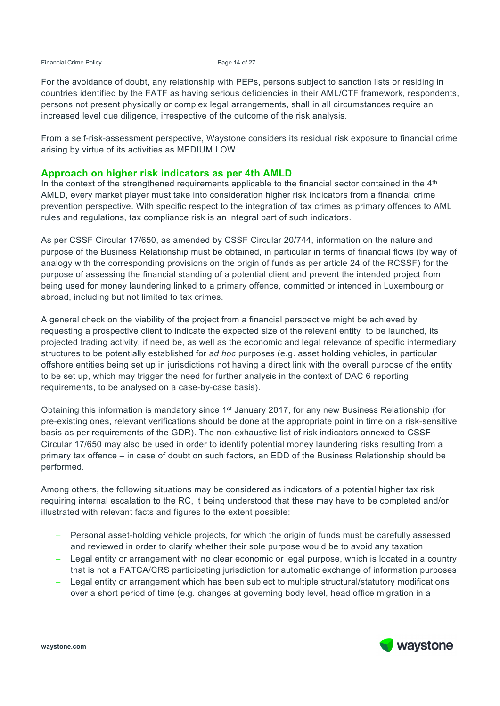#### Financial Crime Policy **Page 14 of 27**

For the avoidance of doubt, any relationship with PEPs, persons subject to sanction lists or residing in countries identified by the FATF as having serious deficiencies in their AML/CTF framework, respondents, persons not present physically or complex legal arrangements, shall in all circumstances require an increased level due diligence, irrespective of the outcome of the risk analysis.

From a self-risk-assessment perspective, Waystone considers its residual risk exposure to financial crime arising by virtue of its activities as MEDIUM LOW.

#### **Approach on higher risk indicators as per 4th AMLD**

In the context of the strengthened requirements applicable to the financial sector contained in the  $4<sup>th</sup>$ AMLD, every market player must take into consideration higher risk indicators from a financial crime prevention perspective. With specific respect to the integration of tax crimes as primary offences to AML rules and regulations, tax compliance risk is an integral part of such indicators.

As per CSSF Circular 17/650, as amended by CSSF Circular 20/744, information on the nature and purpose of the Business Relationship must be obtained, in particular in terms of financial flows (by way of analogy with the corresponding provisions on the origin of funds as per article 24 of the RCSSF) for the purpose of assessing the financial standing of a potential client and prevent the intended project from being used for money laundering linked to a primary offence, committed or intended in Luxembourg or abroad, including but not limited to tax crimes.

A general check on the viability of the project from a financial perspective might be achieved by requesting a prospective client to indicate the expected size of the relevant entity to be launched, its projected trading activity, if need be, as well as the economic and legal relevance of specific intermediary structures to be potentially established for *ad hoc* purposes (e.g. asset holding vehicles, in particular offshore entities being set up in jurisdictions not having a direct link with the overall purpose of the entity to be set up, which may trigger the need for further analysis in the context of DAC 6 reporting requirements, to be analysed on a case-by-case basis).

Obtaining this information is mandatory since 1st January 2017, for any new Business Relationship (for pre-existing ones, relevant verifications should be done at the appropriate point in time on a risk-sensitive basis as per requirements of the GDR). The non-exhaustive list of risk indicators annexed to CSSF Circular 17/650 may also be used in order to identify potential money laundering risks resulting from a primary tax offence – in case of doubt on such factors, an EDD of the Business Relationship should be performed.

Among others, the following situations may be considered as indicators of a potential higher tax risk requiring internal escalation to the RC, it being understood that these may have to be completed and/or illustrated with relevant facts and figures to the extent possible:

- Personal asset-holding vehicle projects, for which the origin of funds must be carefully assessed and reviewed in order to clarify whether their sole purpose would be to avoid any taxation
- − Legal entity or arrangement with no clear economic or legal purpose, which is located in a country that is not a FATCA/CRS participating jurisdiction for automatic exchange of information purposes
- − Legal entity or arrangement which has been subject to multiple structural/statutory modifications over a short period of time (e.g. changes at governing body level, head office migration in a



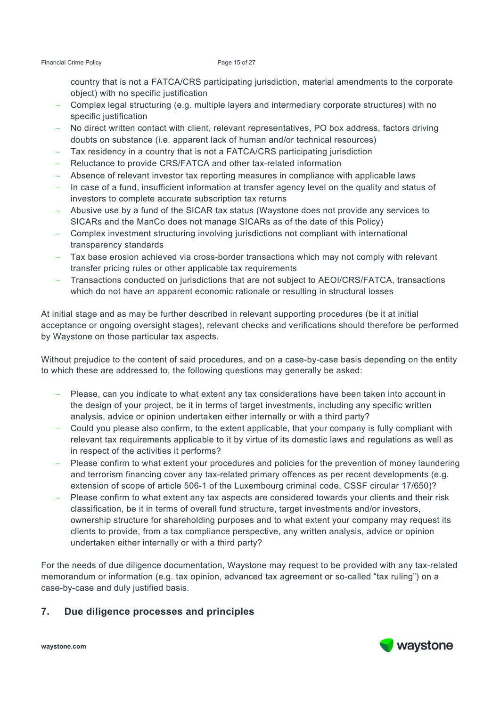country that is not a FATCA/CRS participating jurisdiction, material amendments to the corporate object) with no specific justification

- − Complex legal structuring (e.g. multiple layers and intermediary corporate structures) with no specific justification
- − No direct written contact with client, relevant representatives, PO box address, factors driving doubts on substance (i.e. apparent lack of human and/or technical resources)
- − Tax residency in a country that is not a FATCA/CRS participating jurisdiction
- − Reluctance to provide CRS/FATCA and other tax-related information
- − Absence of relevant investor tax reporting measures in compliance with applicable laws
- − In case of a fund, insufficient information at transfer agency level on the quality and status of investors to complete accurate subscription tax returns
- − Abusive use by a fund of the SICAR tax status (Waystone does not provide any services to SICARs and the ManCo does not manage SICARs as of the date of this Policy)
- − Complex investment structuring involving jurisdictions not compliant with international transparency standards
- − Tax base erosion achieved via cross-border transactions which may not comply with relevant transfer pricing rules or other applicable tax requirements
- − Transactions conducted on jurisdictions that are not subject to AEOI/CRS/FATCA, transactions which do not have an apparent economic rationale or resulting in structural losses

At initial stage and as may be further described in relevant supporting procedures (be it at initial acceptance or ongoing oversight stages), relevant checks and verifications should therefore be performed by Waystone on those particular tax aspects.

Without prejudice to the content of said procedures, and on a case-by-case basis depending on the entity to which these are addressed to, the following questions may generally be asked:

- − Please, can you indicate to what extent any tax considerations have been taken into account in the design of your project, be it in terms of target investments, including any specific written analysis, advice or opinion undertaken either internally or with a third party?
- − Could you please also confirm, to the extent applicable, that your company is fully compliant with relevant tax requirements applicable to it by virtue of its domestic laws and regulations as well as in respect of the activities it performs?
- Please confirm to what extent your procedures and policies for the prevention of money laundering and terrorism financing cover any tax-related primary offences as per recent developments (e.g. extension of scope of article 506-1 of the Luxembourg criminal code, CSSF circular 17/650)?
- Please confirm to what extent any tax aspects are considered towards your clients and their risk classification, be it in terms of overall fund structure, target investments and/or investors, ownership structure for shareholding purposes and to what extent your company may request its clients to provide, from a tax compliance perspective, any written analysis, advice or opinion undertaken either internally or with a third party?

For the needs of due diligence documentation, Waystone may request to be provided with any tax-related memorandum or information (e.g. tax opinion, advanced tax agreement or so-called "tax ruling") on a case-by-case and duly justified basis.

# **7. Due diligence processes and principles**

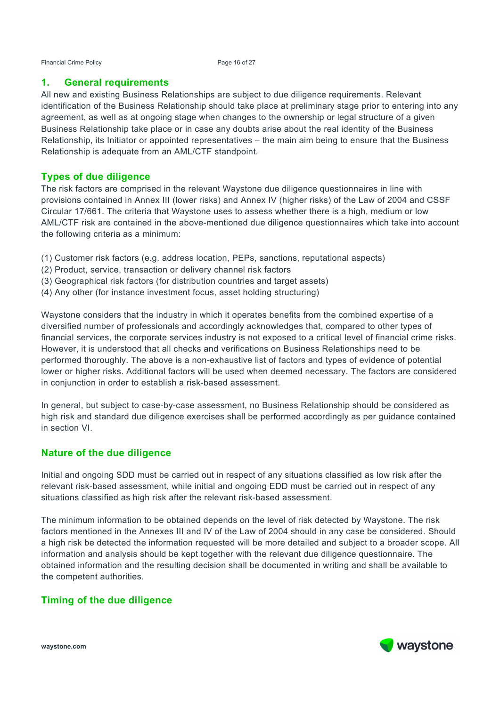Financial Crime Policy **Page 16 of 27** 

### **1. General requirements**

All new and existing Business Relationships are subject to due diligence requirements. Relevant identification of the Business Relationship should take place at preliminary stage prior to entering into any agreement, as well as at ongoing stage when changes to the ownership or legal structure of a given Business Relationship take place or in case any doubts arise about the real identity of the Business Relationship, its Initiator or appointed representatives – the main aim being to ensure that the Business Relationship is adequate from an AML/CTF standpoint.

# **Types of due diligence**

The risk factors are comprised in the relevant Waystone due diligence questionnaires in line with provisions contained in Annex III (lower risks) and Annex IV (higher risks) of the Law of 2004 and CSSF Circular 17/661. The criteria that Waystone uses to assess whether there is a high, medium or low AML/CTF risk are contained in the above-mentioned due diligence questionnaires which take into account the following criteria as a minimum:

- (1) Customer risk factors (e.g. address location, PEPs, sanctions, reputational aspects)
- (2) Product, service, transaction or delivery channel risk factors
- (3) Geographical risk factors (for distribution countries and target assets)
- (4) Any other (for instance investment focus, asset holding structuring)

Waystone considers that the industry in which it operates benefits from the combined expertise of a diversified number of professionals and accordingly acknowledges that, compared to other types of financial services, the corporate services industry is not exposed to a critical level of financial crime risks. However, it is understood that all checks and verifications on Business Relationships need to be performed thoroughly. The above is a non-exhaustive list of factors and types of evidence of potential lower or higher risks. Additional factors will be used when deemed necessary. The factors are considered in conjunction in order to establish a risk-based assessment.

In general, but subject to case-by-case assessment, no Business Relationship should be considered as high risk and standard due diligence exercises shall be performed accordingly as per guidance contained in section VI.

# **Nature of the due diligence**

Initial and ongoing SDD must be carried out in respect of any situations classified as low risk after the relevant risk-based assessment, while initial and ongoing EDD must be carried out in respect of any situations classified as high risk after the relevant risk-based assessment.

The minimum information to be obtained depends on the level of risk detected by Waystone. The risk factors mentioned in the Annexes III and IV of the Law of 2004 should in any case be considered. Should a high risk be detected the information requested will be more detailed and subject to a broader scope. All information and analysis should be kept together with the relevant due diligence questionnaire. The obtained information and the resulting decision shall be documented in writing and shall be available to the competent authorities.

# **Timing of the due diligence**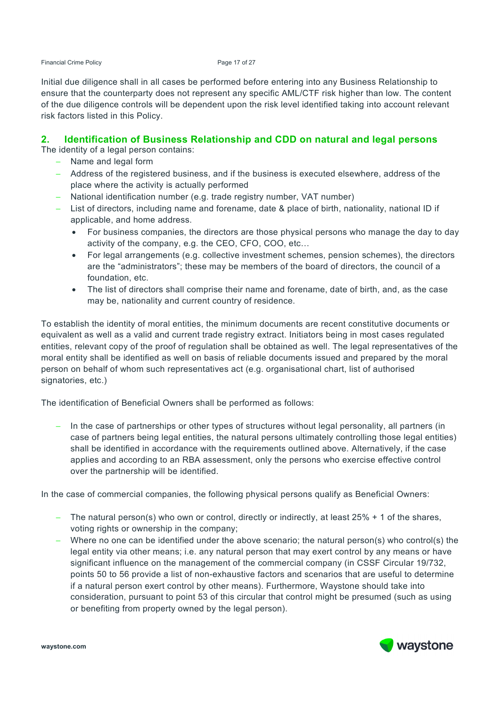Financial Crime Policy **Page 17 of 27** 

Initial due diligence shall in all cases be performed before entering into any Business Relationship to ensure that the counterparty does not represent any specific AML/CTF risk higher than low. The content of the due diligence controls will be dependent upon the risk level identified taking into account relevant risk factors listed in this Policy.

### **2. Identification of Business Relationship and CDD on natural and legal persons**

The identity of a legal person contains:

- − Name and legal form
- − Address of the registered business, and if the business is executed elsewhere, address of the place where the activity is actually performed
- − National identification number (e.g. trade registry number, VAT number)
- − List of directors, including name and forename, date & place of birth, nationality, national ID if applicable, and home address.
	- For business companies, the directors are those physical persons who manage the day to day activity of the company, e.g. the CEO, CFO, COO, etc…
	- For legal arrangements (e.g. collective investment schemes, pension schemes), the directors are the "administrators"; these may be members of the board of directors, the council of a foundation, etc.
	- The list of directors shall comprise their name and forename, date of birth, and, as the case may be, nationality and current country of residence.

To establish the identity of moral entities, the minimum documents are recent constitutive documents or equivalent as well as a valid and current trade registry extract. Initiators being in most cases regulated entities, relevant copy of the proof of regulation shall be obtained as well. The legal representatives of the moral entity shall be identified as well on basis of reliable documents issued and prepared by the moral person on behalf of whom such representatives act (e.g. organisational chart, list of authorised signatories, etc.)

The identification of Beneficial Owners shall be performed as follows:

In the case of partnerships or other types of structures without legal personality, all partners (in case of partners being legal entities, the natural persons ultimately controlling those legal entities) shall be identified in accordance with the requirements outlined above. Alternatively, if the case applies and according to an RBA assessment, only the persons who exercise effective control over the partnership will be identified.

In the case of commercial companies, the following physical persons qualify as Beneficial Owners:

- − The natural person(s) who own or control, directly or indirectly, at least 25% + 1 of the shares, voting rights or ownership in the company;
- − Where no one can be identified under the above scenario; the natural person(s) who control(s) the legal entity via other means; i.e. any natural person that may exert control by any means or have significant influence on the management of the commercial company (in CSSF Circular 19/732, points 50 to 56 provide a list of non-exhaustive factors and scenarios that are useful to determine if a natural person exert control by other means). Furthermore, Waystone should take into consideration, pursuant to point 53 of this circular that control might be presumed (such as using or benefiting from property owned by the legal person).

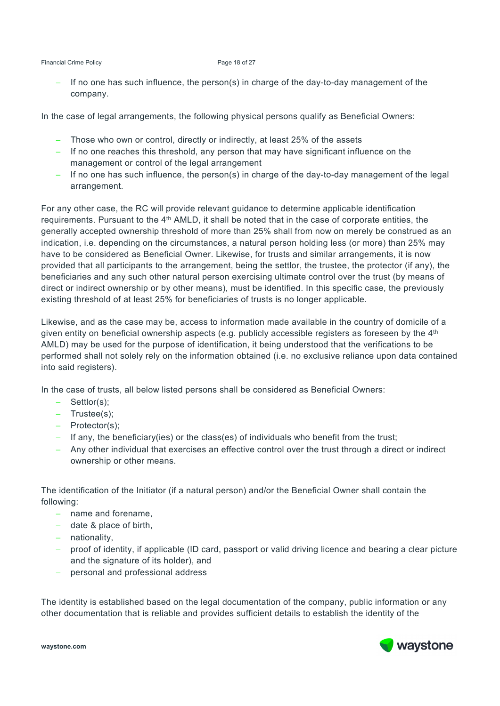If no one has such influence, the person(s) in charge of the day-to-day management of the company.

In the case of legal arrangements, the following physical persons qualify as Beneficial Owners:

- − Those who own or control, directly or indirectly, at least 25% of the assets
- − If no one reaches this threshold, any person that may have significant influence on the management or control of the legal arrangement
- − If no one has such influence, the person(s) in charge of the day-to-day management of the legal arrangement.

For any other case, the RC will provide relevant guidance to determine applicable identification requirements. Pursuant to the 4th AMLD, it shall be noted that in the case of corporate entities, the generally accepted ownership threshold of more than 25% shall from now on merely be construed as an indication, i.e. depending on the circumstances, a natural person holding less (or more) than 25% may have to be considered as Beneficial Owner. Likewise, for trusts and similar arrangements, it is now provided that all participants to the arrangement, being the settlor, the trustee, the protector (if any), the beneficiaries and any such other natural person exercising ultimate control over the trust (by means of direct or indirect ownership or by other means), must be identified. In this specific case, the previously existing threshold of at least 25% for beneficiaries of trusts is no longer applicable.

Likewise, and as the case may be, access to information made available in the country of domicile of a given entity on beneficial ownership aspects (e.g. publicly accessible registers as foreseen by the 4<sup>th</sup> AMLD) may be used for the purpose of identification, it being understood that the verifications to be performed shall not solely rely on the information obtained (i.e. no exclusive reliance upon data contained into said registers).

In the case of trusts, all below listed persons shall be considered as Beneficial Owners:

- − Settlor(s);
- − Trustee(s);
- − Protector(s);
- − If any, the beneficiary(ies) or the class(es) of individuals who benefit from the trust;
- − Any other individual that exercises an effective control over the trust through a direct or indirect ownership or other means.

The identification of the Initiator (if a natural person) and/or the Beneficial Owner shall contain the following:

- − name and forename,
- − date & place of birth,
- − nationality,
- − proof of identity, if applicable (ID card, passport or valid driving licence and bearing a clear picture and the signature of its holder), and
- − personal and professional address

The identity is established based on the legal documentation of the company, public information or any other documentation that is reliable and provides sufficient details to establish the identity of the

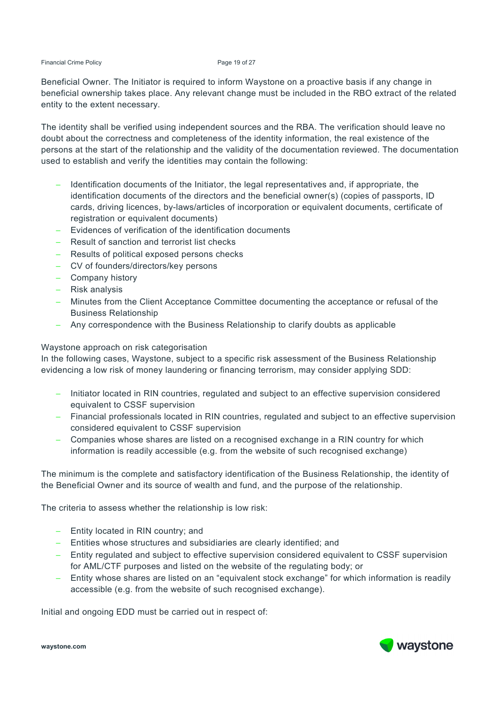#### Financial Crime Policy **Page 19 of 27**

Beneficial Owner. The Initiator is required to inform Waystone on a proactive basis if any change in beneficial ownership takes place. Any relevant change must be included in the RBO extract of the related entity to the extent necessary.

The identity shall be verified using independent sources and the RBA. The verification should leave no doubt about the correctness and completeness of the identity information, the real existence of the persons at the start of the relationship and the validity of the documentation reviewed. The documentation used to establish and verify the identities may contain the following:

- − Identification documents of the Initiator, the legal representatives and, if appropriate, the identification documents of the directors and the beneficial owner(s) (copies of passports, ID cards, driving licences, by-laws/articles of incorporation or equivalent documents, certificate of registration or equivalent documents)
- Evidences of verification of the identification documents
- − Result of sanction and terrorist list checks
- − Results of political exposed persons checks
- − CV of founders/directors/key persons
- − Company history
- − Risk analysis
- − Minutes from the Client Acceptance Committee documenting the acceptance or refusal of the Business Relationship
- − Any correspondence with the Business Relationship to clarify doubts as applicable

#### Waystone approach on risk categorisation

In the following cases, Waystone, subject to a specific risk assessment of the Business Relationship evidencing a low risk of money laundering or financing terrorism, may consider applying SDD:

- − Initiator located in RIN countries, regulated and subject to an effective supervision considered equivalent to CSSF supervision
- − Financial professionals located in RIN countries, regulated and subject to an effective supervision considered equivalent to CSSF supervision
- − Companies whose shares are listed on a recognised exchange in a RIN country for which information is readily accessible (e.g. from the website of such recognised exchange)

The minimum is the complete and satisfactory identification of the Business Relationship, the identity of the Beneficial Owner and its source of wealth and fund, and the purpose of the relationship.

The criteria to assess whether the relationship is low risk:

- − Entity located in RIN country; and
- − Entities whose structures and subsidiaries are clearly identified; and
- − Entity regulated and subject to effective supervision considered equivalent to CSSF supervision for AML/CTF purposes and listed on the website of the regulating body; or
- − Entity whose shares are listed on an "equivalent stock exchange" for which information is readily accessible (e.g. from the website of such recognised exchange).

Initial and ongoing EDD must be carried out in respect of:



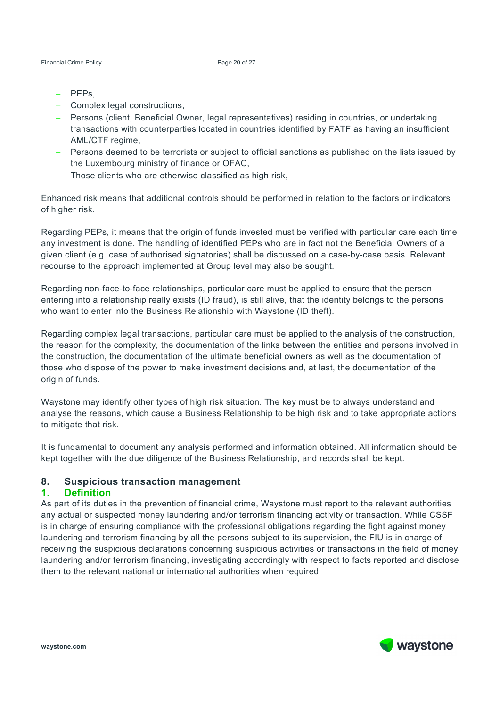- − PEPs,
- − Complex legal constructions,
- − Persons (client, Beneficial Owner, legal representatives) residing in countries, or undertaking transactions with counterparties located in countries identified by FATF as having an insufficient AML/CTF regime,
- − Persons deemed to be terrorists or subject to official sanctions as published on the lists issued by the Luxembourg ministry of finance or OFAC,
- − Those clients who are otherwise classified as high risk,

Enhanced risk means that additional controls should be performed in relation to the factors or indicators of higher risk.

Regarding PEPs, it means that the origin of funds invested must be verified with particular care each time any investment is done. The handling of identified PEPs who are in fact not the Beneficial Owners of a given client (e.g. case of authorised signatories) shall be discussed on a case-by-case basis. Relevant recourse to the approach implemented at Group level may also be sought.

Regarding non-face-to-face relationships, particular care must be applied to ensure that the person entering into a relationship really exists (ID fraud), is still alive, that the identity belongs to the persons who want to enter into the Business Relationship with Waystone (ID theft).

Regarding complex legal transactions, particular care must be applied to the analysis of the construction, the reason for the complexity, the documentation of the links between the entities and persons involved in the construction, the documentation of the ultimate beneficial owners as well as the documentation of those who dispose of the power to make investment decisions and, at last, the documentation of the origin of funds.

Waystone may identify other types of high risk situation. The key must be to always understand and analyse the reasons, which cause a Business Relationship to be high risk and to take appropriate actions to mitigate that risk.

It is fundamental to document any analysis performed and information obtained. All information should be kept together with the due diligence of the Business Relationship, and records shall be kept.

#### **8. Suspicious transaction management**

#### **1. Definition**

As part of its duties in the prevention of financial crime, Waystone must report to the relevant authorities any actual or suspected money laundering and/or terrorism financing activity or transaction. While CSSF is in charge of ensuring compliance with the professional obligations regarding the fight against money laundering and terrorism financing by all the persons subject to its supervision, the FIU is in charge of receiving the suspicious declarations concerning suspicious activities or transactions in the field of money laundering and/or terrorism financing, investigating accordingly with respect to facts reported and disclose them to the relevant national or international authorities when required.

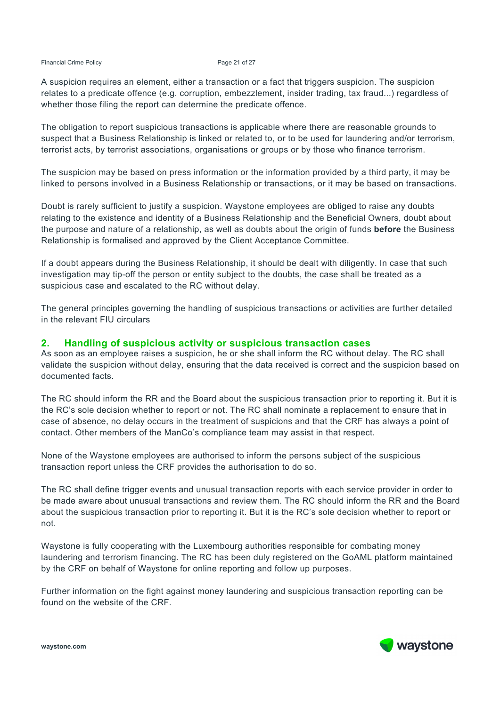#### Financial Crime Policy **Page 21 of 27**

A suspicion requires an element, either a transaction or a fact that triggers suspicion. The suspicion relates to a predicate offence (e.g. corruption, embezzlement, insider trading, tax fraud...) regardless of whether those filing the report can determine the predicate offence.

The obligation to report suspicious transactions is applicable where there are reasonable grounds to suspect that a Business Relationship is linked or related to, or to be used for laundering and/or terrorism, terrorist acts, by terrorist associations, organisations or groups or by those who finance terrorism.

The suspicion may be based on press information or the information provided by a third party, it may be linked to persons involved in a Business Relationship or transactions, or it may be based on transactions.

Doubt is rarely sufficient to justify a suspicion. Waystone employees are obliged to raise any doubts relating to the existence and identity of a Business Relationship and the Beneficial Owners, doubt about the purpose and nature of a relationship, as well as doubts about the origin of funds **before** the Business Relationship is formalised and approved by the Client Acceptance Committee.

If a doubt appears during the Business Relationship, it should be dealt with diligently. In case that such investigation may tip-off the person or entity subject to the doubts, the case shall be treated as a suspicious case and escalated to the RC without delay.

The general principles governing the handling of suspicious transactions or activities are further detailed in the relevant FIU circulars

#### **2. Handling of suspicious activity or suspicious transaction cases**

As soon as an employee raises a suspicion, he or she shall inform the RC without delay. The RC shall validate the suspicion without delay, ensuring that the data received is correct and the suspicion based on documented facts.

The RC should inform the RR and the Board about the suspicious transaction prior to reporting it. But it is the RC's sole decision whether to report or not. The RC shall nominate a replacement to ensure that in case of absence, no delay occurs in the treatment of suspicions and that the CRF has always a point of contact. Other members of the ManCo's compliance team may assist in that respect.

None of the Waystone employees are authorised to inform the persons subject of the suspicious transaction report unless the CRF provides the authorisation to do so.

The RC shall define trigger events and unusual transaction reports with each service provider in order to be made aware about unusual transactions and review them. The RC should inform the RR and the Board about the suspicious transaction prior to reporting it. But it is the RC's sole decision whether to report or not.

Waystone is fully cooperating with the Luxembourg authorities responsible for combating money laundering and terrorism financing. The RC has been duly registered on the GoAML platform maintained by the CRF on behalf of Waystone for online reporting and follow up purposes.

Further information on the fight against money laundering and suspicious transaction reporting can be found on the website of the CRF.

**waystone.com** 

waystone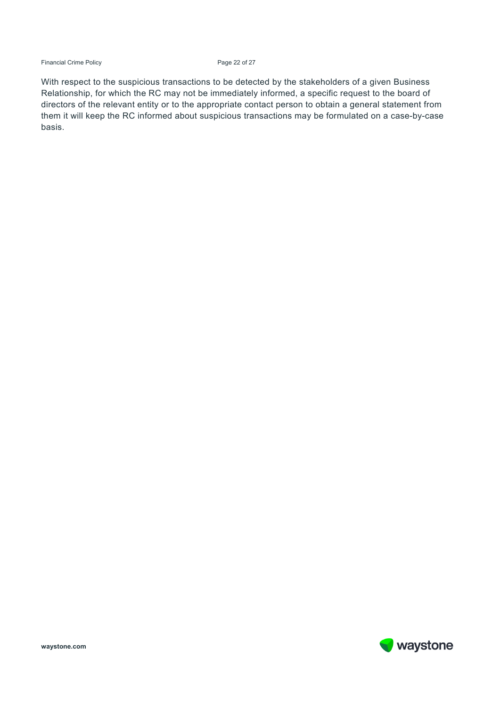Financial Crime Policy **Page 22 of 27** 

With respect to the suspicious transactions to be detected by the stakeholders of a given Business Relationship, for which the RC may not be immediately informed, a specific request to the board of directors of the relevant entity or to the appropriate contact person to obtain a general statement from them it will keep the RC informed about suspicious transactions may be formulated on a case-by-case basis.

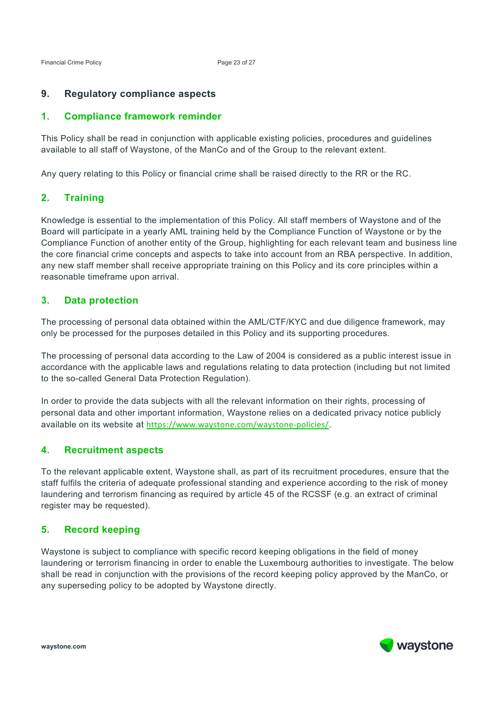# **9. Regulatory compliance aspects**

### **1. Compliance framework reminder**

This Policy shall be read in conjunction with applicable existing policies, procedures and guidelines available to all staff of Waystone, of the ManCo and of the Group to the relevant extent.

Any query relating to this Policy or financial crime shall be raised directly to the RR or the RC.

### **2. Training**

Knowledge is essential to the implementation of this Policy. All staff members of Waystone and of the Board will participate in a yearly AML training held by the Compliance Function of Waystone or by the Compliance Function of another entity of the Group, highlighting for each relevant team and business line the core financial crime concepts and aspects to take into account from an RBA perspective. In addition, any new staff member shall receive appropriate training on this Policy and its core principles within a reasonable timeframe upon arrival.

### **3. Data protection**

The processing of personal data obtained within the AML/CTF/KYC and due diligence framework, may only be processed for the purposes detailed in this Policy and its supporting procedures.

The processing of personal data according to the Law of 2004 is considered as a public interest issue in accordance with the applicable laws and regulations relating to data protection (including but not limited to the so-called General Data Protection Regulation).

In order to provide the data subjects with all the relevant information on their rights, processing of personal data and other important information, Waystone relies on a dedicated privacy notice publicly available on its website at https://www.waystone.com/waystone-policies/.

### **4. Recruitment aspects**

To the relevant applicable extent, Waystone shall, as part of its recruitment procedures, ensure that the staff fulfils the criteria of adequate professional standing and experience according to the risk of money laundering and terrorism financing as required by article 45 of the RCSSF (e.g. an extract of criminal register may be requested).

### **5. Record keeping**

Waystone is subject to compliance with specific record keeping obligations in the field of money laundering or terrorism financing in order to enable the Luxembourg authorities to investigate. The below shall be read in conjunction with the provisions of the record keeping policy approved by the ManCo, or any superseding policy to be adopted by Waystone directly.

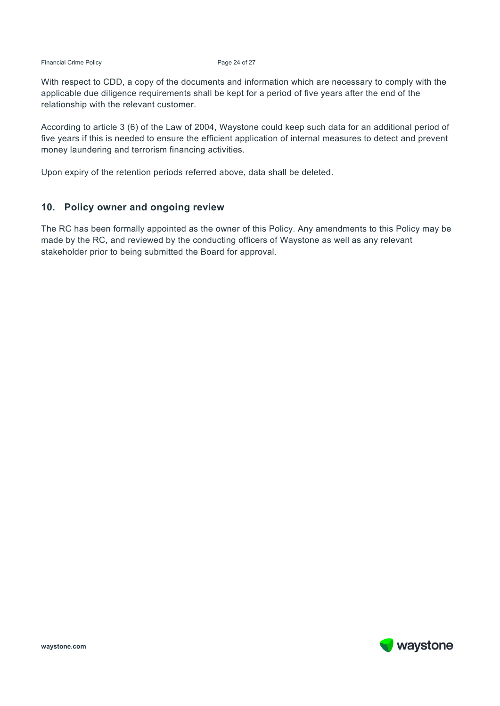Financial Crime Policy **Page 24 of 27** 

With respect to CDD, a copy of the documents and information which are necessary to comply with the applicable due diligence requirements shall be kept for a period of five years after the end of the relationship with the relevant customer.

According to article 3 (6) of the Law of 2004, Waystone could keep such data for an additional period of five years if this is needed to ensure the efficient application of internal measures to detect and prevent money laundering and terrorism financing activities.

Upon expiry of the retention periods referred above, data shall be deleted.

#### **10. Policy owner and ongoing review**

The RC has been formally appointed as the owner of this Policy. Any amendments to this Policy may be made by the RC, and reviewed by the conducting officers of Waystone as well as any relevant stakeholder prior to being submitted the Board for approval.

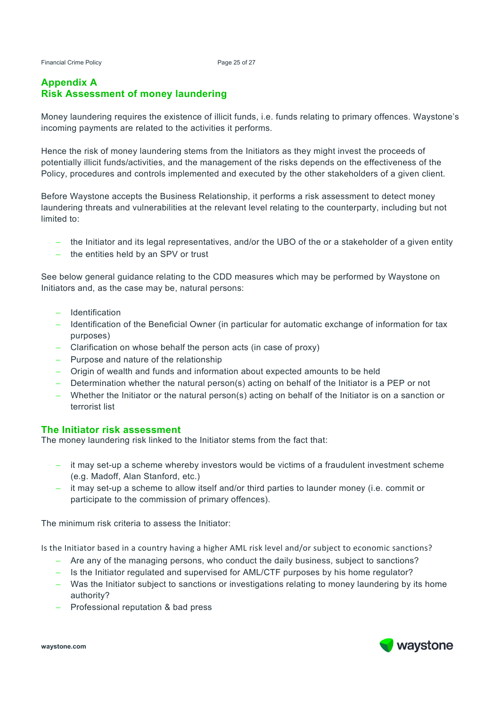#### Financial Crime Policy **Page 25 of 27**

#### **Appendix A Risk Assessment of money laundering**

Money laundering requires the existence of illicit funds, i.e. funds relating to primary offences. Waystone's incoming payments are related to the activities it performs.

Hence the risk of money laundering stems from the Initiators as they might invest the proceeds of potentially illicit funds/activities, and the management of the risks depends on the effectiveness of the Policy, procedures and controls implemented and executed by the other stakeholders of a given client.

Before Waystone accepts the Business Relationship, it performs a risk assessment to detect money laundering threats and vulnerabilities at the relevant level relating to the counterparty, including but not limited to:

- − the Initiator and its legal representatives, and/or the UBO of the or a stakeholder of a given entity
- − the entities held by an SPV or trust

See below general guidance relating to the CDD measures which may be performed by Waystone on Initiators and, as the case may be, natural persons:

- − Identification
- − Identification of the Beneficial Owner (in particular for automatic exchange of information for tax purposes)
- − Clarification on whose behalf the person acts (in case of proxy)
- − Purpose and nature of the relationship
- − Origin of wealth and funds and information about expected amounts to be held
- − Determination whether the natural person(s) acting on behalf of the Initiator is a PEP or not
- − Whether the Initiator or the natural person(s) acting on behalf of the Initiator is on a sanction or terrorist list

#### **The Initiator risk assessment**

The money laundering risk linked to the Initiator stems from the fact that:

- − it may set-up a scheme whereby investors would be victims of a fraudulent investment scheme (e.g. Madoff, Alan Stanford, etc.)
- − it may set-up a scheme to allow itself and/or third parties to launder money (i.e. commit or participate to the commission of primary offences).

The minimum risk criteria to assess the Initiator:

Is the Initiator based in a country having a higher AML risk level and/or subject to economic sanctions?

- − Are any of the managing persons, who conduct the daily business, subject to sanctions?
- − Is the Initiator regulated and supervised for AML/CTF purposes by his home regulator?
- − Was the Initiator subject to sanctions or investigations relating to money laundering by its home authority?
- − Professional reputation & bad press

**waystone.com** 

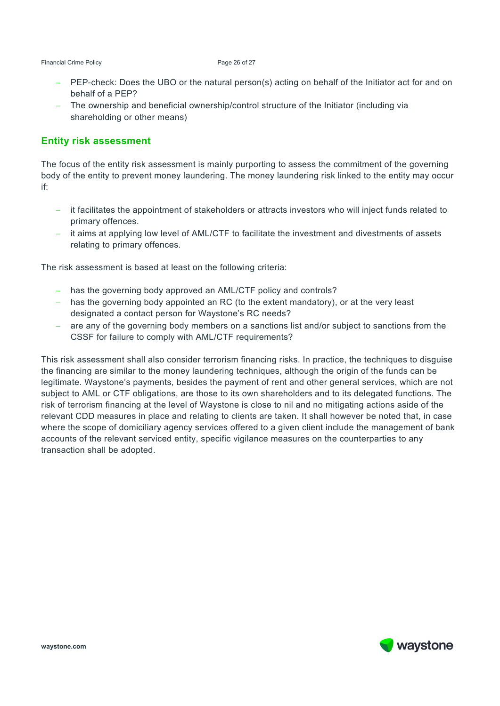Financial Crime Policy **Page 26 of 27** 

- − PEP-check: Does the UBO or the natural person(s) acting on behalf of the Initiator act for and on behalf of a PEP?
- − The ownership and beneficial ownership/control structure of the Initiator (including via shareholding or other means)

### **Entity risk assessment**

The focus of the entity risk assessment is mainly purporting to assess the commitment of the governing body of the entity to prevent money laundering. The money laundering risk linked to the entity may occur if:

- − it facilitates the appointment of stakeholders or attracts investors who will inject funds related to primary offences.
- − it aims at applying low level of AML/CTF to facilitate the investment and divestments of assets relating to primary offences.

The risk assessment is based at least on the following criteria:

- − has the governing body approved an AML/CTF policy and controls?
- − has the governing body appointed an RC (to the extent mandatory), or at the very least designated a contact person for Waystone's RC needs?
- − are any of the governing body members on a sanctions list and/or subject to sanctions from the CSSF for failure to comply with AML/CTF requirements?

This risk assessment shall also consider terrorism financing risks. In practice, the techniques to disguise the financing are similar to the money laundering techniques, although the origin of the funds can be legitimate. Waystone's payments, besides the payment of rent and other general services, which are not subject to AML or CTF obligations, are those to its own shareholders and to its delegated functions. The risk of terrorism financing at the level of Waystone is close to nil and no mitigating actions aside of the relevant CDD measures in place and relating to clients are taken. It shall however be noted that, in case where the scope of domiciliary agency services offered to a given client include the management of bank accounts of the relevant serviced entity, specific vigilance measures on the counterparties to any transaction shall be adopted.